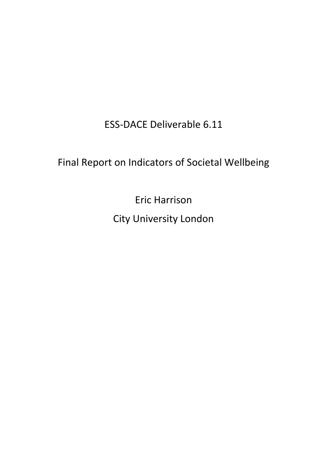ESS-DACE Deliverable 6.11

# Final Report on Indicators of Societal Wellbeing

Eric Harrison City University London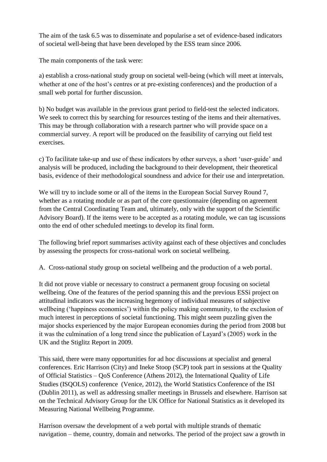The aim of the task 6.5 was to disseminate and popularise a set of evidence-based indicators of societal well-being that have been developed by the ESS team since 2006.

The main components of the task were:

a) establish a cross-national study group on societal well-being (which will meet at intervals, whether at one of the host's centres or at pre-existing conferences) and the production of a small web portal for further discussion.

b) No budget was available in the previous grant period to field-test the selected indicators. We seek to correct this by searching for resources testing of the items and their alternatives. This may be through collaboration with a research partner who will provide space on a commercial survey. A report will be produced on the feasibility of carrying out field test exercises.

c) To facilitate take-up and use of these indicators by other surveys, a short 'user-guide' and analysis will be produced, including the background to their development, their theoretical basis, evidence of their methodological soundness and advice for their use and interpretation.

We will try to include some or all of the items in the European Social Survey Round 7, whether as a rotating module or as part of the core questionnaire (depending on agreement from the Central Coordinating Team and, ultimately, only with the support of the Scientific Advisory Board). If the items were to be accepted as a rotating module, we can tag iscussions onto the end of other scheduled meetings to develop its final form.

The following brief report summarises activity against each of these objectives and concludes by assessing the prospects for cross-national work on societal wellbeing.

A. Cross-national study group on societal wellbeing and the production of a web portal.

It did not prove viable or necessary to construct a permanent group focusing on societal wellbeing. One of the features of the period spanning this and the previous ESSi project on attitudinal indicators was the increasing hegemony of individual measures of subjective wellbeing ('happiness economics') within the policy making community, to the exclusion of much interest in perceptions of societal functioning. This might seem puzzling given the major shocks experienced by the major European economies during the period from 2008 but it was the culmination of a long trend since the publication of Layard's (2005) work in the UK and the Stiglitz Report in 2009.

This said, there were many opportunities for ad hoc discussions at specialist and general conferences. Eric Harrison (City) and Ineke Stoop (SCP) took part in sessions at the Quality of Official Statistics – QoS Conference (Athens 2012), the International Quality of Life Studies (ISQOLS) conference (Venice, 2012), the World Statistics Conference of the ISI (Dublin 2011), as well as addressing smaller meetings in Brussels and elsewhere. Harrison sat on the Technical Advisory Group for the UK Office for National Statistics as it developed its Measuring National Wellbeing Programme.

Harrison oversaw the development of a web portal with multiple strands of thematic navigation – theme, country, domain and networks. The period of the project saw a growth in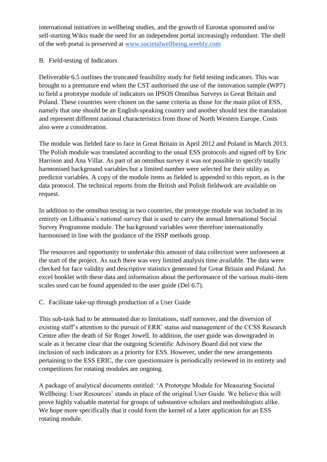international initiatives in wellbeing studies, and the growth of Eurostat sponsored and/or self-starting Wikis made the need for an independent portal increasingly redundant. The shell of the web portal is preserved at [www.societalwellbeing.weebly.com](http://www.societalwellbeing.weebly.com/)

#### B. Field-testing of Indicators

Deliverable 6.5 outlines the truncated feasibility study for field testing indicators. This was brought to a premature end when the CST authorised the use of the innovation sample (WP7) to field a prototype module of indicators on IPSOS Omnibus Surveys in Great Britain and Poland. These countries were chosen on the same criteria as those for the main pilot of ESS, namely that one should be an English-speaking country and another should test the translation and represent different national characteristics from those of North Western Europe. Costs also were a consideration.

The module was fielded face to face in Great Britain in April 2012 and Poland in March 2013. The Polish module was translated according to the usual ESS protocols and signed off by Eric Harrison and Ana Villar. As part of an omnibus survey it was not possible to specify totally harmonised background variables but a limited number were selected for their utility as predictor variables. A copy of the module items as fielded is appended to this report, as is the data protocol. The technical reports from the British and Polish fieldwork are available on request.

In addition to the omnibus testing in two countries, the prototype module was included in its entirety on Lithuania's national survey that is used to carry the annual International Social Survey Programme module. The background variables were therefore internationally harmonised in line with the guidance of the ISSP methods group.

The resources and opportunity to undertake this amount of data collection were unforeseen at the start of the project. As such there was very limited analysis time available. The data were checked for face validity and descriptive statistics generated for Great Britain and Poland. An excel booklet with these data and information about the performance of the various multi-item scales used can be found appended to the user guide (Del 6.7).

#### C. Facilitate take-up through production of a User Guide

This sub-task had to be attenuated due to limitations, staff turnover, and the diversion of existing staff's attention to the pursuit of ERIC status and management of the CCSS Research Centre after the death of Sir Roger Jowell. In addition, the user guide was downgraded in scale as it became clear that the outgoing Scientific Advisory Board did not view the inclusion of such indicators as a priority for ESS. However, under the new arrangements pertaining to the ESS ERIC, the core questionnaire is periodically reviewed in its entirety and competitions for rotating modules are ongoing.

A package of analytical documents entitled: 'A Prototype Module for Measuring Societal Wellbeing: User Resources' stands in place of the original User Guide. We believe this will prove highly valuable material for groups of substantive scholars and methodologists alike. We hope more specifically that it could form the kernel of a later application for an ESS rotating module.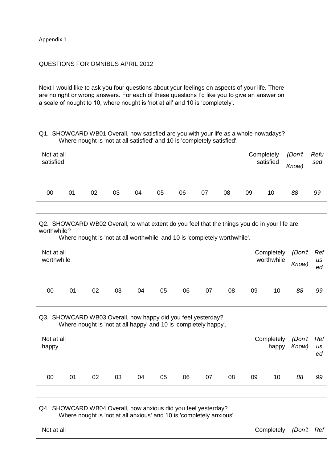Appendix 1

Г

 $\overline{\phantom{a}}$ 

#### QUESTIONS FOR OMNIBUS APRIL 2012

Next I would like to ask you four questions about your feelings on aspects of your life. There are no right or wrong answers. For each of these questions I'd like you to give an answer on a scale of nought to 10, where nought is 'not at all' and 10 is 'completely'.

| Q1. SHOWCARD WB01 Overall, how satisfied are you with your life as a whole nowadays?<br>Where nought is 'not at all satisfied' and 10 is 'completely satisfied'. |    |    |    |    |    |    |    |    |            |           |                 |             |
|------------------------------------------------------------------------------------------------------------------------------------------------------------------|----|----|----|----|----|----|----|----|------------|-----------|-----------------|-------------|
| Not at all<br>satisfied                                                                                                                                          |    |    |    |    |    |    |    |    | Completely | satisfied | (Don't<br>Know) | Refu<br>sed |
| 00                                                                                                                                                               | 01 | 02 | 03 | 04 | 05 | 06 | 07 | 08 | 09         | 10        | 88              | 99          |

|                          | Q2. SHOWCARD WB02 Overall, to what extent do you feel that the things you do in your life are<br>worthwhile?<br>Where nought is 'not at all worthwhile' and 10 is 'completely worthwhile'. |    |    |    |    |    |    |    |    |                          |                 |                 |  |
|--------------------------|--------------------------------------------------------------------------------------------------------------------------------------------------------------------------------------------|----|----|----|----|----|----|----|----|--------------------------|-----------------|-----------------|--|
| Not at all<br>worthwhile |                                                                                                                                                                                            |    |    |    |    |    |    |    |    | Completely<br>worthwhile | (Don't<br>Know) | Ref<br>us<br>ed |  |
| 00                       | 01                                                                                                                                                                                         | 02 | 03 | 04 | 05 | 06 | 07 | 08 | 09 | 10                       | 88              | 99              |  |

| Q3. SHOWCARD WB03 Overall, how happy did you feel yesterday?<br>Where nought is 'not at all happy' and 10 is 'completely happy'. |    |    |    |    |    |    |    |    |    |                     |                 |                 |  |
|----------------------------------------------------------------------------------------------------------------------------------|----|----|----|----|----|----|----|----|----|---------------------|-----------------|-----------------|--|
| Not at all<br>happy                                                                                                              |    |    |    |    |    |    |    |    |    | Completely<br>happy | (Don't<br>Know) | Ref<br>us<br>ed |  |
| 00                                                                                                                               | 01 | 02 | 03 | 04 | 05 | 06 | 07 | 08 | 09 | 10                  | 88              | 99              |  |

Q4. SHOWCARD WB04 Overall, how anxious did you feel yesterday? Where nought is 'not at all anxious' and 10 is 'completely anxious'.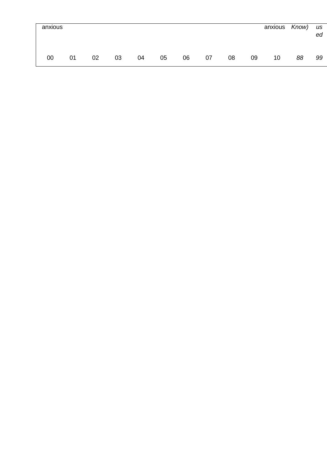| anxious |    |    |    |    |    |    |    |    |    | anxious Know) |    | us<br>ed |
|---------|----|----|----|----|----|----|----|----|----|---------------|----|----------|
| 00      | 01 | 02 | 03 | 04 | 05 | 06 | 07 | 08 | 09 | 10            | 88 | 99       |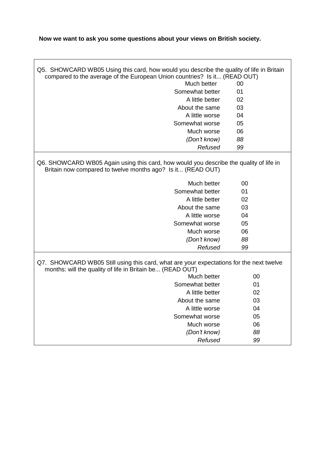### **Now we want to ask you some questions about your views on British society.**

 $\overline{\phantom{a}}$ 

| Q5. SHOWCARD WB05 Using this card, how would you describe the quality of life in Britain<br>compared to the average of the European Union countries? Is it (READ OUT)<br>Much better<br>00<br>Somewhat better<br>01<br>A little better<br>02<br>About the same<br>03<br>A little worse<br>04<br>Somewhat worse<br>05<br>Much worse<br>06<br>(Don't know)<br>88<br>Refused<br>99<br>Q6. SHOWCARD WB05 Again using this card, how would you describe the quality of life in<br>Britain now compared to twelve months ago? Is it (READ OUT)<br>Much better<br>00<br>Somewhat better<br>01<br>A little better<br>02<br>03<br>About the same<br>A little worse<br>04<br>Somewhat worse<br>05<br>06<br>Much worse<br>(Don't know)<br>88<br>Refused<br>99<br>Q7. SHOWCARD WB05 Still using this card, what are your expectations for the next twelve<br>months: will the quality of life in Britain be (READ OUT) |             |    |
|------------------------------------------------------------------------------------------------------------------------------------------------------------------------------------------------------------------------------------------------------------------------------------------------------------------------------------------------------------------------------------------------------------------------------------------------------------------------------------------------------------------------------------------------------------------------------------------------------------------------------------------------------------------------------------------------------------------------------------------------------------------------------------------------------------------------------------------------------------------------------------------------------------|-------------|----|
|                                                                                                                                                                                                                                                                                                                                                                                                                                                                                                                                                                                                                                                                                                                                                                                                                                                                                                            |             |    |
|                                                                                                                                                                                                                                                                                                                                                                                                                                                                                                                                                                                                                                                                                                                                                                                                                                                                                                            |             |    |
|                                                                                                                                                                                                                                                                                                                                                                                                                                                                                                                                                                                                                                                                                                                                                                                                                                                                                                            |             |    |
|                                                                                                                                                                                                                                                                                                                                                                                                                                                                                                                                                                                                                                                                                                                                                                                                                                                                                                            |             |    |
|                                                                                                                                                                                                                                                                                                                                                                                                                                                                                                                                                                                                                                                                                                                                                                                                                                                                                                            |             |    |
|                                                                                                                                                                                                                                                                                                                                                                                                                                                                                                                                                                                                                                                                                                                                                                                                                                                                                                            |             |    |
|                                                                                                                                                                                                                                                                                                                                                                                                                                                                                                                                                                                                                                                                                                                                                                                                                                                                                                            |             |    |
|                                                                                                                                                                                                                                                                                                                                                                                                                                                                                                                                                                                                                                                                                                                                                                                                                                                                                                            |             |    |
|                                                                                                                                                                                                                                                                                                                                                                                                                                                                                                                                                                                                                                                                                                                                                                                                                                                                                                            |             |    |
|                                                                                                                                                                                                                                                                                                                                                                                                                                                                                                                                                                                                                                                                                                                                                                                                                                                                                                            |             |    |
|                                                                                                                                                                                                                                                                                                                                                                                                                                                                                                                                                                                                                                                                                                                                                                                                                                                                                                            |             |    |
|                                                                                                                                                                                                                                                                                                                                                                                                                                                                                                                                                                                                                                                                                                                                                                                                                                                                                                            |             |    |
|                                                                                                                                                                                                                                                                                                                                                                                                                                                                                                                                                                                                                                                                                                                                                                                                                                                                                                            |             |    |
|                                                                                                                                                                                                                                                                                                                                                                                                                                                                                                                                                                                                                                                                                                                                                                                                                                                                                                            |             |    |
|                                                                                                                                                                                                                                                                                                                                                                                                                                                                                                                                                                                                                                                                                                                                                                                                                                                                                                            |             |    |
|                                                                                                                                                                                                                                                                                                                                                                                                                                                                                                                                                                                                                                                                                                                                                                                                                                                                                                            |             |    |
|                                                                                                                                                                                                                                                                                                                                                                                                                                                                                                                                                                                                                                                                                                                                                                                                                                                                                                            |             |    |
|                                                                                                                                                                                                                                                                                                                                                                                                                                                                                                                                                                                                                                                                                                                                                                                                                                                                                                            |             |    |
|                                                                                                                                                                                                                                                                                                                                                                                                                                                                                                                                                                                                                                                                                                                                                                                                                                                                                                            |             |    |
|                                                                                                                                                                                                                                                                                                                                                                                                                                                                                                                                                                                                                                                                                                                                                                                                                                                                                                            |             |    |
|                                                                                                                                                                                                                                                                                                                                                                                                                                                                                                                                                                                                                                                                                                                                                                                                                                                                                                            |             |    |
|                                                                                                                                                                                                                                                                                                                                                                                                                                                                                                                                                                                                                                                                                                                                                                                                                                                                                                            | Much better | 00 |
| Somewhat better<br>01                                                                                                                                                                                                                                                                                                                                                                                                                                                                                                                                                                                                                                                                                                                                                                                                                                                                                      |             |    |
| A little better<br>02                                                                                                                                                                                                                                                                                                                                                                                                                                                                                                                                                                                                                                                                                                                                                                                                                                                                                      |             |    |
| 03<br>About the same                                                                                                                                                                                                                                                                                                                                                                                                                                                                                                                                                                                                                                                                                                                                                                                                                                                                                       |             |    |
| A little worse<br>04                                                                                                                                                                                                                                                                                                                                                                                                                                                                                                                                                                                                                                                                                                                                                                                                                                                                                       |             |    |
| Somewhat worse<br>05                                                                                                                                                                                                                                                                                                                                                                                                                                                                                                                                                                                                                                                                                                                                                                                                                                                                                       |             |    |
| Much worse<br>06                                                                                                                                                                                                                                                                                                                                                                                                                                                                                                                                                                                                                                                                                                                                                                                                                                                                                           |             |    |
| (Don't know)<br>88                                                                                                                                                                                                                                                                                                                                                                                                                                                                                                                                                                                                                                                                                                                                                                                                                                                                                         |             |    |
| Refused<br>99                                                                                                                                                                                                                                                                                                                                                                                                                                                                                                                                                                                                                                                                                                                                                                                                                                                                                              |             |    |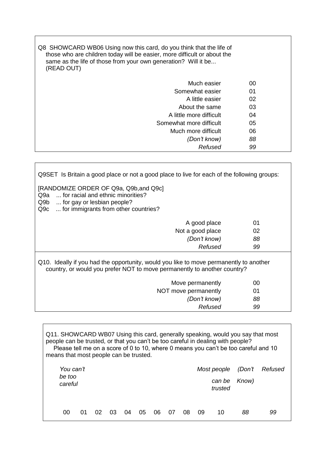| Q8 SHOWCARD WB06 Using now this card, do you think that the life of<br>those who are children today will be easier, more difficult or about the<br>same as the life of those from your own generation? Will it be<br>(READ OUT) |    |  |
|---------------------------------------------------------------------------------------------------------------------------------------------------------------------------------------------------------------------------------|----|--|
| Much easier                                                                                                                                                                                                                     | 00 |  |
| Somewhat easier                                                                                                                                                                                                                 | 01 |  |
| A little easier                                                                                                                                                                                                                 | 02 |  |
| About the same                                                                                                                                                                                                                  | 03 |  |
| A little more difficult                                                                                                                                                                                                         | 04 |  |
| Somewhat more difficult                                                                                                                                                                                                         | 05 |  |
| Much more difficult                                                                                                                                                                                                             | 06 |  |
| (Don't know)                                                                                                                                                                                                                    | 88 |  |
| Refused                                                                                                                                                                                                                         | 99 |  |
|                                                                                                                                                                                                                                 |    |  |

Q9SET Is Britain a good place or not a good place to live for each of the following groups:

[RANDOMIZE ORDER OF Q9a, Q9b,and Q9c]

Q9a ... for racial and ethnic minorities?

Q9b ... for gay or lesbian people?

Q9c ... for immigrants from other countries?

| A good place     | 01 |
|------------------|----|
| Not a good place | 02 |
| (Don't know)     | 88 |
| Refused          | 99 |
|                  |    |

Q10. Ideally if you had the opportunity, would you like to move permanently to another country, or would you prefer NOT to move permanently to another country?

| Move permanently     | 00 |
|----------------------|----|
| NOT move permanently | 01 |
| (Don't know)         | 88 |
| Refused              | 99 |
|                      |    |

*trusted*

Q11. SHOWCARD WB07 Using this card, generally speaking, would you say that most people can be trusted, or that you can't be too careful in dealing with people? Please tell me on a score of 0 to 10, where 0 means you can't be too careful and 10 means that most people can be trusted. *You can't be too careful Most people can be (Don't Know) Refused*

00 01 02 03 04 05 06 07 08 09 10 *88 99*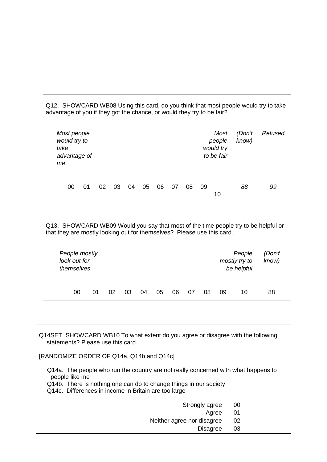| Q12. SHOWCARD WB08 Using this card, do you think that most people would try to take<br>advantage of you if they got the chance, or would they try to be fair? |    |    |    |    |    |    |    |    |    |                                           |                 |         |
|---------------------------------------------------------------------------------------------------------------------------------------------------------------|----|----|----|----|----|----|----|----|----|-------------------------------------------|-----------------|---------|
| Most people<br>would try to<br>take<br>advantage of<br>me                                                                                                     |    |    |    |    |    |    |    |    |    | Most<br>people<br>would try<br>to be fair | (Don't<br>know) | Refused |
| 00                                                                                                                                                            | 01 | 02 | 03 | 04 | 05 | 06 | 07 | 08 | 09 | 10                                        | 88              | 99      |

| Q13. SHOWCARD WB09 Would you say that most of the time people try to be helpful or<br>that they are mostly looking out for themselves? Please use this card. |    |    |    |    |    |    |    |    |    |                                       |                 |
|--------------------------------------------------------------------------------------------------------------------------------------------------------------|----|----|----|----|----|----|----|----|----|---------------------------------------|-----------------|
| People mostly<br>look out for<br>themselves                                                                                                                  |    |    |    |    |    |    |    |    |    | People<br>mostly try to<br>be helpful | (Don't<br>know) |
| 00                                                                                                                                                           | 01 | 02 | 03 | 04 | 05 | 06 | 07 | 08 | 09 | 10                                    | 88              |

Q14SET SHOWCARD WB10 To what extent do you agree or disagree with the following statements? Please use this card.

[RANDOMIZE ORDER OF Q14a, Q14b,and Q14c]

 $\Gamma$ 

Q14a. The people who run the country are not really concerned with what happens to people like me

Q14b. There is nothing one can do to change things in our society

Q14c. Differences in income in Britain are too large

- Strongly agree 00
	- Agree 01

Neither agree nor disagree 02

Disagree 03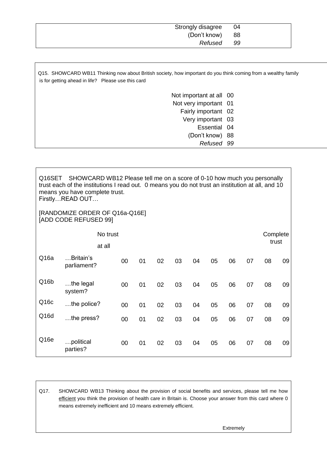| Strongly disagree | - 04 |
|-------------------|------|
| (Don't know)      | - 88 |
| Refused           | -99  |

Q15. SHOWCARD WB11 Thinking now about British society, how important do you think coming from a wealthy family is for getting ahead in life? Please use this card

| Not important at all 00 |  |
|-------------------------|--|
| Not very important 01   |  |
| Fairly important 02     |  |
| Very important 03       |  |
| Essential 04            |  |
| (Don't know) 88         |  |
| Refused 99              |  |

| Q <sub>16</sub> SET | SHOWCARD WB12 Please tell me on a score of 0-10 how much you personally<br>trust each of the institutions I read out. O means you do not trust an institution at all, and 10<br>means you have complete trust.<br>FirstlyREAD OUT |        |    |    |    |    |    |    |    |          |    |
|---------------------|-----------------------------------------------------------------------------------------------------------------------------------------------------------------------------------------------------------------------------------|--------|----|----|----|----|----|----|----|----------|----|
|                     | [RANDOMIZE ORDER OF Q16a-Q16E]<br>[ADD CODE REFUSED 99]                                                                                                                                                                           |        |    |    |    |    |    |    |    |          |    |
|                     | No trust                                                                                                                                                                                                                          |        |    |    |    |    |    |    |    | Complete |    |
|                     | at all                                                                                                                                                                                                                            |        |    |    |    |    |    |    |    | trust    |    |
| Q <sub>16a</sub>    | Britain's<br>parliament?                                                                                                                                                                                                          | $00\,$ | 01 | 02 | 03 | 04 | 05 | 06 | 07 | 08       | 09 |
| Q16b                | the legal<br>system?                                                                                                                                                                                                              | $00\,$ | 01 | 02 | 03 | 04 | 05 | 06 | 07 | 08       | 09 |
| Q16c                | $$ the police?                                                                                                                                                                                                                    | $00\,$ | 01 | 02 | 03 | 04 | 05 | 06 | 07 | 08       | 09 |
| Q <sub>16</sub> d   | the press?                                                                                                                                                                                                                        | $00\,$ | 01 | 02 | 03 | 04 | 05 | 06 | 07 | 08       | 09 |
| Q <sub>16e</sub>    | political<br>parties?                                                                                                                                                                                                             | 00     | 01 | 02 | 03 | 04 | 05 | 06 | 07 | 08       | 09 |

Q17. SHOWCARD WB13 Thinking about the provision of social benefits and services, please tell me how efficient you think the provision of health care in Britain is. Choose your answer from this card where 0 means extremely inefficient and 10 means extremely efficient.

Extremely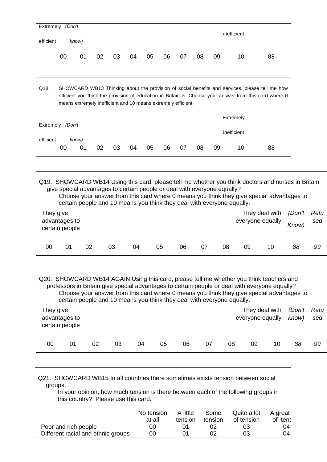|           | Extremely (Don't |       |    |    |    |    |    |    |    |    |             |    |
|-----------|------------------|-------|----|----|----|----|----|----|----|----|-------------|----|
| efficient |                  | know) |    |    |    |    |    |    |    |    | inefficient |    |
|           | 00               | 01    | 02 | 03 | 04 | 05 | 06 | 07 | 08 | 09 | 10          | 88 |

| Q18.      |        | means extremely inefficient and 10 means extremely efficient. |    |    |    |    |    |    |    |    |             | SHOWCARD WB13 Thinking about the provision of social benefits and services, please tell me how<br>efficient you think the provision of education in Britain is. Choose your answer from this card where 0 |
|-----------|--------|---------------------------------------------------------------|----|----|----|----|----|----|----|----|-------------|-----------------------------------------------------------------------------------------------------------------------------------------------------------------------------------------------------------|
|           |        |                                                               |    |    |    |    |    |    |    |    | Extremely   |                                                                                                                                                                                                           |
| Extremely | (Don't |                                                               |    |    |    |    |    |    |    |    | inefficient |                                                                                                                                                                                                           |
| efficient | 00     | know)<br>01                                                   | 02 | 03 | 04 | 05 | 06 | 07 | 08 | 09 | 10          | 88                                                                                                                                                                                                        |

|           |                                 |    |    | give special advantages to certain people or deal with everyone equally?<br>certain people and 10 means you think they deal with everyone equally. |    |    |    |    |    | Q19. SHOWCARD WB14 Using this card, please tell me whether you think doctors and nurses in Britain<br>Choose your answer from this card where 0 means you think they give special advantages to |        |             |
|-----------|---------------------------------|----|----|----------------------------------------------------------------------------------------------------------------------------------------------------|----|----|----|----|----|-------------------------------------------------------------------------------------------------------------------------------------------------------------------------------------------------|--------|-------------|
| They give | advantages to<br>certain people |    |    |                                                                                                                                                    |    |    |    |    |    | They deal with<br>everyone equally Know)                                                                                                                                                        | (Don't | Refu<br>sed |
| 00        | 01                              | 02 | 03 | 04                                                                                                                                                 | 05 | 06 | 07 | 08 | 09 | 10                                                                                                                                                                                              | 88     | 99          |

| Q20. SHOWCARD WB14 AGAIN Using this card, please tell me whether you think teachers and |    | professors in Britain give special advantages to certain people or deal with everyone equally?<br>Choose your answer from this card where 0 means you think they give special advantages to<br>certain people and 10 means you think they deal with everyone equally. |    |    |    |    |    |    |                                    |    |                 |             |
|-----------------------------------------------------------------------------------------|----|-----------------------------------------------------------------------------------------------------------------------------------------------------------------------------------------------------------------------------------------------------------------------|----|----|----|----|----|----|------------------------------------|----|-----------------|-------------|
| They give<br>advantages to<br>certain people                                            |    |                                                                                                                                                                                                                                                                       |    |    |    |    |    |    | They deal with<br>everyone equally |    | (Don't<br>know) | Refu<br>sed |
| 00                                                                                      | 01 | 02                                                                                                                                                                                                                                                                    | 03 | 04 | 05 | 06 | 07 | 08 | 09                                 | 10 | 88              | 99          |

| Q21. SHOWCARD WB15 In all countries there sometimes exists tension between social<br>groups.<br>In your opinion, how much tension is there between each of the following groups in<br>this country? Please use this card. |                      |                     |                 |                           |                    |
|---------------------------------------------------------------------------------------------------------------------------------------------------------------------------------------------------------------------------|----------------------|---------------------|-----------------|---------------------------|--------------------|
|                                                                                                                                                                                                                           | No tension<br>at all | A little<br>tension | Some<br>tension | Quite a lot<br>of tension | A great<br>of tens |
| Poor and rich people                                                                                                                                                                                                      | 00                   | 01                  | 02              | 03                        | 04                 |
| Different racial and ethnic groups                                                                                                                                                                                        | 00                   | 01                  | 02              | 03                        | 04                 |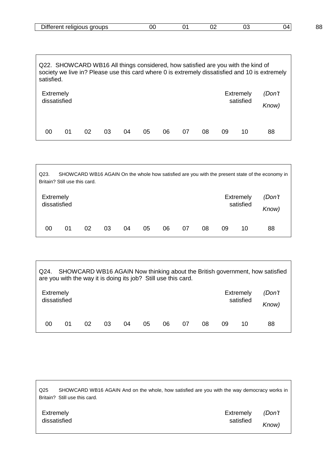| <b>Contract Contract Contract Contract</b><br>$\cdots$<br>. JIOUS 1<br>ור<br>еш<br>ли» | K | ັບພ |  | oc<br>OC. |
|----------------------------------------------------------------------------------------|---|-----|--|-----------|

| satisfied.                |    |    |    |    |    |    |    |    |    | Q22. SHOWCARD WB16 All things considered, how satisfied are you with the kind of | society we live in? Please use this card where 0 is extremely dissatisfied and 10 is extremely |
|---------------------------|----|----|----|----|----|----|----|----|----|----------------------------------------------------------------------------------|------------------------------------------------------------------------------------------------|
| Extremely<br>dissatisfied |    |    |    |    |    |    |    |    |    | <b>Extremely</b><br>satisfied                                                    | (Don't<br>Know)                                                                                |
| 00                        | 01 | 02 | 03 | 04 | 05 | 06 | 07 | 08 | 09 | 10                                                                               | 88                                                                                             |

| Q23.                             | Britain? Still use this card. |    |    |    |    |    |    |    |    |                               | SHOWCARD WB16 AGAIN On the whole how satisfied are you with the present state of the economy in |
|----------------------------------|-------------------------------|----|----|----|----|----|----|----|----|-------------------------------|-------------------------------------------------------------------------------------------------|
| <b>Extremely</b><br>dissatisfied |                               |    |    |    |    |    |    |    |    | <b>Extremely</b><br>satisfied | (Don't<br>Know)                                                                                 |
| 00                               | 01                            | 02 | 03 | 04 | 05 | 06 | 07 | 08 | 09 | 10                            | 88                                                                                              |

| Q24.<br>are you with the way it is doing its job? Still use this card. |    |    |    |    |    |    |    |    |    |                               | SHOWCARD WB16 AGAIN Now thinking about the British government, how satisfied |
|------------------------------------------------------------------------|----|----|----|----|----|----|----|----|----|-------------------------------|------------------------------------------------------------------------------|
| Extremely<br>dissatisfied                                              |    |    |    |    |    |    |    |    |    | <b>Extremely</b><br>satisfied | (Don't<br>Know)                                                              |
| 00                                                                     | 01 | 02 | 03 | 04 | 05 | 06 | 07 | 08 | 09 | 10                            | 88                                                                           |

 $\Gamma$ 

| Q <sub>25</sub><br>Britain? Still use this card. | SHOWCARD WB16 AGAIN And on the whole, how satisfied are you with the way democracy works in |        |
|--------------------------------------------------|---------------------------------------------------------------------------------------------|--------|
| Extremely                                        | Extremely                                                                                   | (Don't |
| dissatisfied                                     | satisfied                                                                                   | Know)  |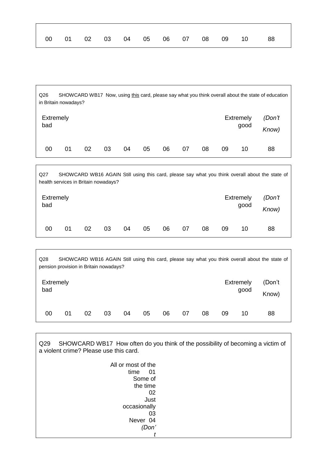| 00     01     02     03     04     05     06     07     08     09     10     88 |  |
|---------------------------------------------------------------------------------|--|
|                                                                                 |  |

| Q26 | SHOWCARD WB17 Now, using this card, please say what you think overall about the state of education |
|-----|----------------------------------------------------------------------------------------------------|
|     | in Britain nowadays?                                                                               |
|     |                                                                                                    |

| Extremely |    |    |    |    |    |    |    | Extremely | (Don't |    |    |
|-----------|----|----|----|----|----|----|----|-----------|--------|----|----|
| bad       |    |    |    |    |    |    |    | good      | Know)  |    |    |
| 00        | 01 | 02 | 03 | 04 | 05 | 06 | 07 | 08        | 09     | 10 | 88 |

Q27 SHOWCARD WB16 AGAIN Still using this card, please say what you think overall about the state of health services in Britain nowadays? Extremely bad Extremely good *(Don't Know)* 00 01 02 03 04 05 06 07 08 09 10 88

| Q <sub>28</sub>         | SHOWCARD WB16 AGAIN Still using this card, please say what you think overall about the state of<br>pension provision in Britain nowadays? |    |    |    |    |    |    |    |    |                          |                 |
|-------------------------|-------------------------------------------------------------------------------------------------------------------------------------------|----|----|----|----|----|----|----|----|--------------------------|-----------------|
| <b>Extremely</b><br>bad |                                                                                                                                           |    |    |    |    |    |    |    |    | <b>Extremely</b><br>good | (Don't<br>Know) |
| 00                      | 01                                                                                                                                        | 02 | 03 | 04 | 05 | 06 | 07 | 08 | 09 | 10                       | 88              |

Q29 SHOWCARD WB17 How often do you think of the possibility of becoming a victim of a violent crime? Please use this card.

| All or most of the |
|--------------------|
| time<br>01         |
| Some of            |
| the time           |
| በ2                 |
| Just               |
| occasionally       |
| 03                 |
| Never 04           |
| (Don'              |
|                    |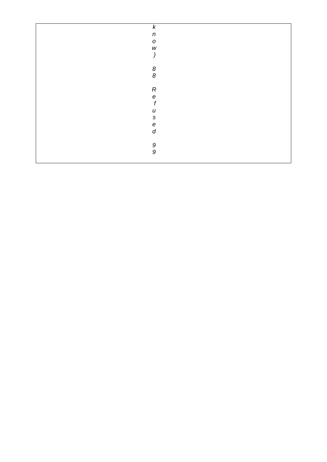| $\pmb{k}$                             |
|---------------------------------------|
| $\boldsymbol{n}$                      |
| $\cal O$                              |
| $\ensuremath{\mathsf{W}}\xspace$      |
| )                                     |
|                                       |
| $\boldsymbol{\delta}$                 |
| $\boldsymbol{8}$                      |
|                                       |
| $\boldsymbol{R}$                      |
|                                       |
| $e$<br>$f$                            |
|                                       |
| $\boldsymbol{U}$                      |
| $\mathsf S$                           |
| $\boldsymbol{\mathit{e}}$             |
| $\boldsymbol{d}$                      |
|                                       |
| $\begin{array}{c} 9 \\ 9 \end{array}$ |
|                                       |
|                                       |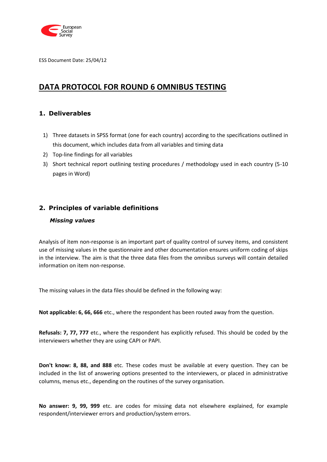

ESS Document Date: 25/04/12

## **DATA PROTOCOL FOR ROUND 6 OMNIBUS TESTING**

#### **1. Deliverables**

- 1) Three datasets in SPSS format (one for each country) according to the specifications outlined in this document, which includes data from all variables and timing data
- 2) Top-line findings for all variables
- 3) Short technical report outlining testing procedures / methodology used in each country (5-10 pages in Word)

#### **2. Principles of variable definitions**

#### *Missing values*

Analysis of item non-response is an important part of quality control of survey items, and consistent use of missing values in the questionnaire and other documentation ensures uniform coding of skips in the interview. The aim is that the three data files from the omnibus surveys will contain detailed information on item non-response.

The missing values in the data files should be defined in the following way:

**Not applicable: 6, 66, 666** etc., where the respondent has been routed away from the question.

**Refusals: 7, 77, 777** etc., where the respondent has explicitly refused. This should be coded by the interviewers whether they are using CAPI or PAPI.

**Don't know: 8, 88, and 888** etc. These codes must be available at every question. They can be included in the list of answering options presented to the interviewers, or placed in administrative columns, menus etc., depending on the routines of the survey organisation.

**No answer: 9, 99, 999** etc. are codes for missing data not elsewhere explained, for example respondent/interviewer errors and production/system errors.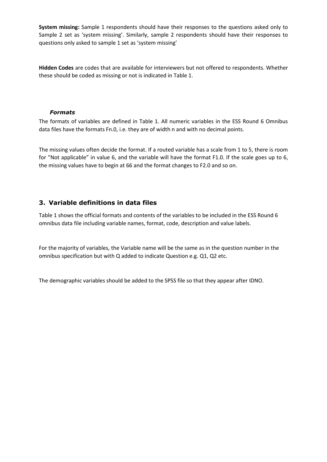**System missing:** Sample 1 respondents should have their responses to the questions asked only to Sample 2 set as 'system missing'. Similarly, sample 2 respondents should have their responses to questions only asked to sample 1 set as 'system missing'

**Hidden Codes** are codes that are available for interviewers but not offered to respondents. Whether these should be coded as missing or not is indicated in Table 1.

#### *Formats*

The formats of variables are defined in Table 1. All numeric variables in the ESS Round 6 Omnibus data files have the formats Fn.0, i.e. they are of width n and with no decimal points.

The missing values often decide the format. If a routed variable has a scale from 1 to 5, there is room for "Not applicable" in value 6, and the variable will have the format F1.0. If the scale goes up to 6, the missing values have to begin at 66 and the format changes to F2.0 and so on.

#### **3. Variable definitions in data files**

Table 1 shows the official formats and contents of the variables to be included in the ESS Round 6 omnibus data file including variable names, format, code, description and value labels.

For the majority of variables, the Variable name will be the same as in the question number in the omnibus specification but with Q added to indicate Question e.g. Q1, Q2 etc.

The demographic variables should be added to the SPSS file so that they appear after IDNO.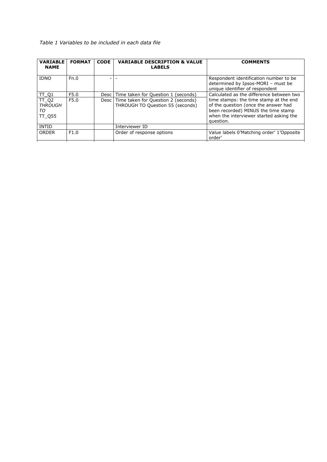#### *Table 1 Variables to be included in each data file*

| <b>FORMAT</b> | <b>CODE</b> | <b>VARIABLE DESCRIPTION &amp; VALUE</b><br><b>LABELS</b> | <b>COMMENTS</b>                                                                                                                                                               |
|---------------|-------------|----------------------------------------------------------|-------------------------------------------------------------------------------------------------------------------------------------------------------------------------------|
| Fn.0          | ۰           |                                                          | Respondent identification number to be<br>determined by Ipsos-MORI - must be<br>unique identifier of respondent                                                               |
| F5.0          |             |                                                          | Calculated as the difference between two                                                                                                                                      |
| F5.0          |             | THROUGH TO Question 55 (seconds)                         | time stamps: the time stamp at the end<br>of the question (once the answer had<br>been recorded) MINUS the time stamp<br>when the interviewer started asking the<br>question. |
|               |             | Interviewer ID                                           |                                                                                                                                                                               |
| F1.0          |             | Order of response options                                | Value labels 0'Matching order' 1'Opposite<br>order'                                                                                                                           |
|               |             |                                                          | Desc Time taken for Question 1 (seconds)<br>Desc   Time taken for Question 2 (seconds)                                                                                        |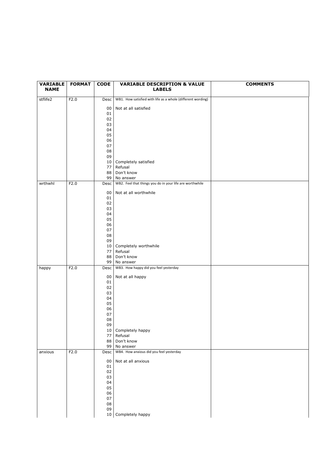| <b>VARIABLE</b> | <b>FORMAT</b> | <b>CODE</b> | <b>VARIABLE DESCRIPTION &amp; VALUE</b>                               | <b>COMMENTS</b> |
|-----------------|---------------|-------------|-----------------------------------------------------------------------|-----------------|
| <b>NAME</b>     |               |             | <b>LABELS</b>                                                         |                 |
| stflife2        | F2.0          | Desc        | WB1. How satisfied with life as a whole (different wording)           |                 |
|                 |               |             |                                                                       |                 |
|                 |               | 00<br>01    | Not at all satisfied                                                  |                 |
|                 |               | 02          |                                                                       |                 |
|                 |               | 03          |                                                                       |                 |
|                 |               | 04          |                                                                       |                 |
|                 |               | 05          |                                                                       |                 |
|                 |               | 06<br>07    |                                                                       |                 |
|                 |               | ${\bf 08}$  |                                                                       |                 |
|                 |               | 09          |                                                                       |                 |
|                 |               | 10          | Completely satisfied                                                  |                 |
|                 |               | 77          | Refusal                                                               |                 |
|                 |               | 88          | Don't know                                                            |                 |
| wrthwhl         | F2.0          | 99<br>Desc  | No answer<br>WB2. Feel that things you do in your life are worthwhile |                 |
|                 |               |             |                                                                       |                 |
|                 |               | 00          | Not at all worthwhile                                                 |                 |
|                 |               | 01          |                                                                       |                 |
|                 |               | 02<br>03    |                                                                       |                 |
|                 |               | 04          |                                                                       |                 |
|                 |               | 05          |                                                                       |                 |
|                 |               | 06          |                                                                       |                 |
|                 |               | 07          |                                                                       |                 |
|                 |               | 08          |                                                                       |                 |
|                 |               | 09<br>10    | Completely worthwhile                                                 |                 |
|                 |               | 77          | Refusal                                                               |                 |
|                 |               | 88          | Don't know                                                            |                 |
|                 |               | 99          | No answer                                                             |                 |
| happy           | F2.0          | Desc        | WB3. How happy did you feel yesterday                                 |                 |
|                 |               | 00          | Not at all happy                                                      |                 |
|                 |               | 01          |                                                                       |                 |
|                 |               | 02          |                                                                       |                 |
|                 |               | 03<br>04    |                                                                       |                 |
|                 |               | 05          |                                                                       |                 |
|                 |               | 06          |                                                                       |                 |
|                 |               | 07          |                                                                       |                 |
|                 |               | 08          |                                                                       |                 |
|                 |               | 09<br>10    | Completely happy                                                      |                 |
|                 |               | 77          | Refusal                                                               |                 |
|                 |               | 88          | Don't know                                                            |                 |
|                 |               | 99          | No answer                                                             |                 |
| anxious         | F2.0          | Desc        | WB4. How anxious did you feel yesterday                               |                 |
|                 |               | 00          | Not at all anxious                                                    |                 |
|                 |               | 01          |                                                                       |                 |
|                 |               | 02          |                                                                       |                 |
|                 |               | 03          |                                                                       |                 |
|                 |               | 04<br>05    |                                                                       |                 |
|                 |               | 06          |                                                                       |                 |
|                 |               | 07          |                                                                       |                 |
|                 |               | ${\bf 08}$  |                                                                       |                 |
|                 |               | 09          |                                                                       |                 |
|                 |               | 10          | Completely happy                                                      |                 |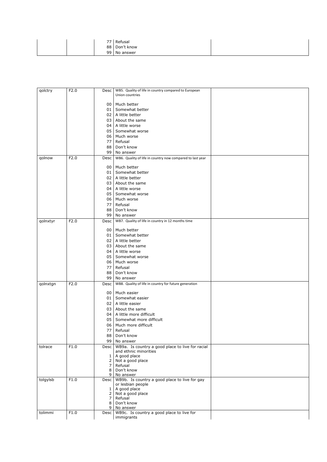|  | $\overline{z}$ | Refusal      |  |
|--|----------------|--------------|--|
|  | 88             | Don't know   |  |
|  |                | 99 No answer |  |

| qolctry  | F2.0 | Desc                             | WB5. Quality of life in country compared to European      |  |
|----------|------|----------------------------------|-----------------------------------------------------------|--|
|          |      |                                  | Union countries                                           |  |
|          |      |                                  |                                                           |  |
|          |      | 00                               | Much better                                               |  |
|          |      | 01                               | Somewhat better                                           |  |
|          |      |                                  | 02 A little better                                        |  |
|          |      | 03                               | About the same                                            |  |
|          |      | 04                               | A little worse                                            |  |
|          |      | 05                               | Somewhat worse                                            |  |
|          |      | 06                               | Much worse                                                |  |
|          |      | 77                               | Refusal                                                   |  |
|          |      | 88                               | Don't know                                                |  |
|          |      | 99                               | No answer                                                 |  |
| qolnow   | F2.0 | Desc                             | WB6. Quality of life in country now compared to last year |  |
|          |      | 00                               | Much better                                               |  |
|          |      |                                  | Somewhat better                                           |  |
|          |      | 01                               |                                                           |  |
|          |      | 02                               | A little better                                           |  |
|          |      | 03                               | About the same                                            |  |
|          |      | 04                               | A little worse                                            |  |
|          |      | 05                               | Somewhat worse                                            |  |
|          |      | 06                               | Much worse                                                |  |
|          |      | 77                               | Refusal                                                   |  |
|          |      | 88                               | Don't know                                                |  |
|          |      | 99                               | No answer                                                 |  |
| qolnxtyr | F2.0 | Desc                             | WB7. Quality of life in country in 12 months time         |  |
|          |      | 00                               | Much better                                               |  |
|          |      | 01                               | Somewhat better                                           |  |
|          |      | 02 <sub>1</sub>                  | A little better                                           |  |
|          |      |                                  |                                                           |  |
|          |      | 03                               | About the same                                            |  |
|          |      | 04 <sub>1</sub>                  | A little worse                                            |  |
|          |      | 05                               | Somewhat worse                                            |  |
|          |      | 06                               | Much worse                                                |  |
|          |      | 77                               | Refusal                                                   |  |
|          |      | 88                               | Don't know                                                |  |
|          |      | 99                               | No answer                                                 |  |
| qolnxtgn | F2.0 | Desc                             | WB8. Quality of life in country for future generation     |  |
|          |      | 00                               | Much easier                                               |  |
|          |      | 01                               | Somewhat easier                                           |  |
|          |      |                                  | 02 A little easier                                        |  |
|          |      |                                  |                                                           |  |
|          |      | 03                               | About the same                                            |  |
|          |      | 04                               | A little more difficult                                   |  |
|          |      | 05                               | Somewhat more difficult                                   |  |
|          |      | 06                               | Much more difficult                                       |  |
|          |      | 77                               | Refusal                                                   |  |
|          |      | 88                               | Don't know                                                |  |
|          |      | 99                               | No answer                                                 |  |
| tolrace  | F1.0 |                                  | Desc   WB9a. Is country a good place to live for racial   |  |
|          |      |                                  | and ethnic minorities                                     |  |
|          |      | $\mathbf{1}$                     | A good place<br>Not a good place                          |  |
|          |      | 2 <sup>1</sup><br>7 <sup>1</sup> | Refusal                                                   |  |
|          |      | 8                                | Don't know                                                |  |
|          |      |                                  | 9 No answer                                               |  |
| tolgylsb | F1.0 |                                  | Desc WB9b. Is country a good place to live for gay        |  |
|          |      |                                  | or lesbian people                                         |  |
|          |      | $1\vert$                         | A good place                                              |  |
|          |      | 2 <sub>1</sub>                   | Not a good place                                          |  |
|          |      | 7 <sup>1</sup>                   | Refusal                                                   |  |
|          |      | 8                                | Don't know<br>9 No answer                                 |  |
| tolimmi  | F1.0 |                                  | Desc WB9c. Is country a good place to live for            |  |
|          |      |                                  | immigrants                                                |  |
|          |      |                                  |                                                           |  |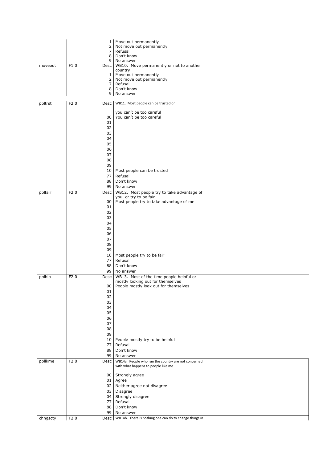|          |      | $1 \mid$                         | Move out permanently                                   |  |
|----------|------|----------------------------------|--------------------------------------------------------|--|
|          |      | $\mathbf{2}$                     | Not move out permanently                               |  |
|          |      | $\overline{7}$                   | Refusal                                                |  |
|          |      | 8                                | Don't know                                             |  |
|          |      | 9                                | No answer                                              |  |
| moveout  | F1.0 | Desc                             | WB10. Move permanently or not to another               |  |
|          |      |                                  | country                                                |  |
|          |      | $\mathbf{1}$                     | Move out permanently                                   |  |
|          |      | $\overline{2}$<br>7 <sup>1</sup> | Not move out permanently                               |  |
|          |      | 8                                | Refusal<br>Don't know                                  |  |
|          |      | 9                                | No answer                                              |  |
|          |      |                                  |                                                        |  |
| ppltrst  | F2.0 | <b>Desc</b>                      | WB11. Most people can be trusted or                    |  |
|          |      |                                  |                                                        |  |
|          |      |                                  | you can't be too careful                               |  |
|          |      | 00                               | You can't be too careful                               |  |
|          |      | 01                               |                                                        |  |
|          |      | 02                               |                                                        |  |
|          |      | 03                               |                                                        |  |
|          |      | 04                               |                                                        |  |
|          |      | 05                               |                                                        |  |
|          |      | 06                               |                                                        |  |
|          |      | 07                               |                                                        |  |
|          |      | 08                               |                                                        |  |
|          |      | 09                               |                                                        |  |
|          |      | 10                               | Most people can be trusted                             |  |
|          |      | 77                               | Refusal                                                |  |
|          |      | 88                               | Don't know                                             |  |
|          |      | 99                               | No answer                                              |  |
| pplfair  | F2.0 |                                  | WB12. Most people try to take advantage of             |  |
|          |      | Desc                             | you, or try to be fair                                 |  |
|          |      | 00                               | Most people try to take advantage of me                |  |
|          |      | 01                               |                                                        |  |
|          |      | 02                               |                                                        |  |
|          |      | 03                               |                                                        |  |
|          |      | 04                               |                                                        |  |
|          |      | 05                               |                                                        |  |
|          |      |                                  |                                                        |  |
|          |      | 06                               |                                                        |  |
|          |      | 07                               |                                                        |  |
|          |      | 08                               |                                                        |  |
|          |      | 09                               |                                                        |  |
|          |      | 10                               | Most people try to be fair                             |  |
|          |      | 77                               | Refusal                                                |  |
|          |      | 88                               | Don't know                                             |  |
|          |      | 99                               | No answer                                              |  |
| pplhlp   | F2.0 | Desc                             | WB13. Most of the time people helpful or               |  |
|          |      |                                  | mostly looking out for themselves                      |  |
|          |      | 00                               | People mostly look out for themselves                  |  |
|          |      | 01                               |                                                        |  |
|          |      | 02                               |                                                        |  |
|          |      | 03                               |                                                        |  |
|          |      | 04                               |                                                        |  |
|          |      | 05                               |                                                        |  |
|          |      | 06                               |                                                        |  |
|          |      | 07                               |                                                        |  |
|          |      | 08                               |                                                        |  |
|          |      | 09                               |                                                        |  |
|          |      | 10                               | People mostly try to be helpful                        |  |
|          |      | 77                               | Refusal                                                |  |
|          |      | 88                               | Don't know                                             |  |
|          |      | 99                               | No answer                                              |  |
| ppllkme  | F2.0 | Desc                             | WB14a. People who run the country are not concerned    |  |
|          |      |                                  | with what happens to people like me                    |  |
|          |      |                                  |                                                        |  |
|          |      | 00 <sub>1</sub>                  | Strongly agree                                         |  |
|          |      | 01                               | Agree                                                  |  |
|          |      | 02                               | Neither agree not disagree                             |  |
|          |      | 03                               | Disagree                                               |  |
|          |      | 04                               | Strongly disagree                                      |  |
|          |      | 77                               | Refusal                                                |  |
|          |      | 88                               | Don't know                                             |  |
|          |      | 99                               | No answer                                              |  |
| chngscty | F2.0 | Desc                             | WB14b. There is nothing one can do to change things in |  |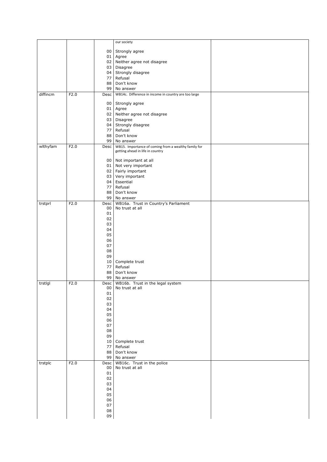|          |      |                 | our society                                          |  |
|----------|------|-----------------|------------------------------------------------------|--|
|          |      |                 |                                                      |  |
|          |      | 00 <sub>1</sub> | Strongly agree                                       |  |
|          |      | 01              | Agree                                                |  |
|          |      | 02              | Neither agree not disagree                           |  |
|          |      | 03<br>04        | Disagree<br>Strongly disagree                        |  |
|          |      | 77              | Refusal                                              |  |
|          |      | 88              | Don't know                                           |  |
|          |      | 99              | No answer                                            |  |
| diffincm | F2.0 | Desc            | WB14c. Difference in income in country are too large |  |
|          |      |                 |                                                      |  |
|          |      | 00              | Strongly agree                                       |  |
|          |      | 01<br>02        | Agree<br>Neither agree not disagree                  |  |
|          |      | 03              | Disagree                                             |  |
|          |      | 04              | Strongly disagree                                    |  |
|          |      | 77              | Refusal                                              |  |
|          |      | 88              | Don't know                                           |  |
|          |      | 99              | No answer                                            |  |
| wlthyfam | F2.0 | Desc            | WB15. Importance of coming from a wealthy family for |  |
|          |      |                 | getting ahead in life in country                     |  |
|          |      | 00 <sub>1</sub> | Not important at all                                 |  |
|          |      | 01              | Not very important                                   |  |
|          |      | 02              | Fairly important                                     |  |
|          |      | 03              | Very important                                       |  |
|          |      | 04              | Essential                                            |  |
|          |      | 77              | Refusal                                              |  |
|          |      | 88<br>99        | Don't know                                           |  |
| trstprl  | F2.0 | Desc            | No answer<br>WB16a. Trust in Country's Parliament    |  |
|          |      | 00              | No trust at all                                      |  |
|          |      | 01              |                                                      |  |
|          |      | 02              |                                                      |  |
|          |      | 03              |                                                      |  |
|          |      | 04              |                                                      |  |
|          |      | 05              |                                                      |  |
|          |      | 06<br>07        |                                                      |  |
|          |      | 08              |                                                      |  |
|          |      | 09              |                                                      |  |
|          |      | 10              | Complete trust                                       |  |
|          |      | 77              | Refusal                                              |  |
|          |      | 88              | Don't know                                           |  |
|          |      | 99              | No answer                                            |  |
| trstlgl  | F2.0 | Desc<br>00      | WB16b. Trust in the legal system<br>No trust at all  |  |
|          |      | ${\bf 01}$      |                                                      |  |
|          |      | 02              |                                                      |  |
|          |      | 03              |                                                      |  |
|          |      | 04              |                                                      |  |
|          |      | 05              |                                                      |  |
|          |      | 06              |                                                      |  |
|          |      | 07              |                                                      |  |
|          |      | 08              |                                                      |  |
|          |      | 09<br>10        | Complete trust                                       |  |
|          |      | 77              | Refusal                                              |  |
|          |      | 88              | Don't know                                           |  |
|          |      | 99              | No answer                                            |  |
| trstplc  | F2.0 | Desc            | WB16c. Trust in the police                           |  |
|          |      | 00              | No trust at all                                      |  |
|          |      | 01              |                                                      |  |
|          |      | 02              |                                                      |  |
|          |      | 03<br>04        |                                                      |  |
|          |      | 05              |                                                      |  |
|          |      | 06              |                                                      |  |
|          |      | 07              |                                                      |  |
|          |      | ${\bf 08}$      |                                                      |  |
|          |      | 09              |                                                      |  |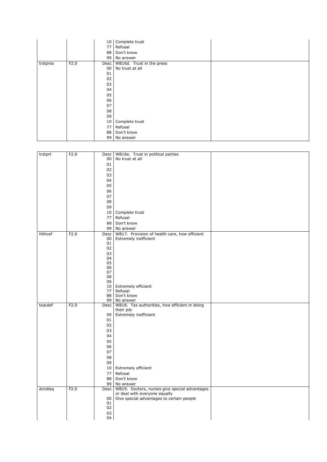|          |      | 10 <sup>1</sup> | Complete trust            |  |
|----------|------|-----------------|---------------------------|--|
|          |      | 77              | Refusal                   |  |
|          |      | 88              | Don't know                |  |
|          |      | 99              | No answer                 |  |
| trstprss | F2.0 | <b>Desc</b>     | WB16d. Trust in the press |  |
|          |      | 00              | No trust at all           |  |
|          |      | 01              |                           |  |
|          |      | 02              |                           |  |
|          |      | 03              |                           |  |
|          |      | 04              |                           |  |
|          |      | 05              |                           |  |
|          |      | 06              |                           |  |
|          |      | 07              |                           |  |
|          |      | 08              |                           |  |
|          |      | 09              |                           |  |
|          |      | 10              | Complete trust            |  |
|          |      | 77              | Refusal                   |  |
|          |      | 88              | Don't know                |  |
|          |      | 99              | No answer                 |  |

| trstprt | F2.0 | Desc             | WB16e. Trust in political parties             |  |
|---------|------|------------------|-----------------------------------------------|--|
|         |      | 00               | No trust at all                               |  |
|         |      | 01               |                                               |  |
|         |      | 02               |                                               |  |
|         |      | 03               |                                               |  |
|         |      | 04               |                                               |  |
|         |      | 05               |                                               |  |
|         |      | 06               |                                               |  |
|         |      |                  |                                               |  |
|         |      | 07               |                                               |  |
|         |      | 08               |                                               |  |
|         |      | 09               |                                               |  |
|         |      | 10               | Complete trust                                |  |
|         |      | 77               | Refusal                                       |  |
|         |      | 88               | Don't know                                    |  |
|         |      | 99               | No answer                                     |  |
| hlthcef | F2.0 | Desc             | WB17. Provision of health care, how efficient |  |
|         |      | 00               | Extremely inefficient                         |  |
|         |      | 01               |                                               |  |
|         |      | 02               |                                               |  |
|         |      | 03               |                                               |  |
|         |      | 04               |                                               |  |
|         |      | 05               |                                               |  |
|         |      | 06               |                                               |  |
|         |      | 07               |                                               |  |
|         |      | 08<br>09         |                                               |  |
|         |      |                  | 10 Extremely efficient                        |  |
|         |      | 77               | Refusal                                       |  |
|         |      | 88               | Don't know                                    |  |
|         |      | 99               | No answer                                     |  |
| txautef | F2.0 | Desc             | WB18. Tax authorities, how efficient in doing |  |
|         |      |                  | their job                                     |  |
|         |      | 00               | Extremely inefficient                         |  |
|         |      | 01               |                                               |  |
|         |      | 02               |                                               |  |
|         |      | 03               |                                               |  |
|         |      | 04               |                                               |  |
|         |      | 05               |                                               |  |
|         |      | 06               |                                               |  |
|         |      | 07               |                                               |  |
|         |      | 08               |                                               |  |
|         |      |                  |                                               |  |
|         |      | 09               |                                               |  |
|         |      | 10               | <b>Extremely efficient</b>                    |  |
|         |      | 77               | Refusal                                       |  |
|         |      | 88               | Don't know                                    |  |
|         |      | 99               | No answer                                     |  |
| dcndleq | F2.0 | Desc             | WB19. Doctors, nurses give special advantages |  |
|         |      |                  | or deal with everyone equally                 |  |
|         |      | 00<br>${\bf 01}$ | Give special advantages to certain people     |  |
|         |      | 02               |                                               |  |
|         |      |                  |                                               |  |
|         |      | 03               |                                               |  |
|         |      | 04               |                                               |  |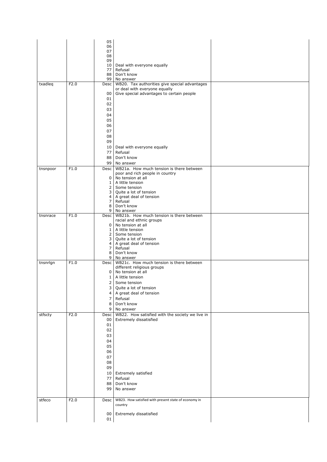|          |      | 05<br>06                         |                                                                             |  |
|----------|------|----------------------------------|-----------------------------------------------------------------------------|--|
|          |      | 07<br>08                         |                                                                             |  |
|          |      | 09                               |                                                                             |  |
|          |      | 10<br>77                         | Deal with everyone equally<br>Refusal                                       |  |
|          |      | 88                               | Don't know                                                                  |  |
| txadleq  | F2.0 | 99<br>Desc                       | No answer<br>WB20. Tax authorities give special advantages                  |  |
|          |      |                                  | or deal with everyone equally                                               |  |
|          |      | 00<br>01                         | Give special advantages to certain people                                   |  |
|          |      | 02                               |                                                                             |  |
|          |      | 03                               |                                                                             |  |
|          |      | 04<br>05                         |                                                                             |  |
|          |      | 06                               |                                                                             |  |
|          |      | 07                               |                                                                             |  |
|          |      | 08<br>09                         |                                                                             |  |
|          |      | 10                               | Deal with everyone equally                                                  |  |
|          |      | 77                               | Refusal                                                                     |  |
|          |      | 88<br>99                         | Don't know<br>No answer                                                     |  |
| tnsnpoor | F1.0 | Desc                             | WB21a. How much tension is there between                                    |  |
|          |      | 0                                | poor and rich people in country<br>No tension at all                        |  |
|          |      | $\mathbf{1}$                     | A little tension                                                            |  |
|          |      | $\overline{2}$<br>3              | Some tension<br>Quite a lot of tension                                      |  |
|          |      | $\overline{4}$                   | A great deal of tension                                                     |  |
|          |      | $\overline{7}$<br>8              | Refusal<br>Don't know                                                       |  |
|          |      | 9 <sub>1</sub>                   | No answer                                                                   |  |
| tnsnrace | F1.0 |                                  | Desc   WB21b. How much tension is there between<br>racial and ethnic groups |  |
|          |      | 0                                | No tension at all                                                           |  |
|          |      | $\mathbf{1}$<br>$\overline{2}$   | A little tension<br>Some tension                                            |  |
|          |      | 3                                | Quite a lot of tension                                                      |  |
|          |      | 4<br>$\overline{7}$              | A great deal of tension<br>Refusal                                          |  |
|          |      | 8                                | Don't know                                                                  |  |
| tnsnrlgn | F1.0 | 9<br>Desc <sup>1</sup>           | No answer<br>WB21c. How much tension is there between                       |  |
|          |      |                                  | different religious groups                                                  |  |
|          |      | 0<br>$\mathbf{1}$                | No tension at all<br>A little tension                                       |  |
|          |      | $\overline{2}$                   | Some tension                                                                |  |
|          |      | 3                                | Quite a lot of tension                                                      |  |
|          |      | $\overline{4}$<br>$\overline{7}$ | A great deal of tension<br>Refusal                                          |  |
|          |      | 8                                | Don't know                                                                  |  |
|          |      | 9                                | No answer                                                                   |  |
| stfscty  | F2.0 | Desc<br>00                       | WB22. How satisfied with the society we live in<br>Extremely dissatisfied   |  |
|          |      | 01                               |                                                                             |  |
|          |      | 02                               |                                                                             |  |
|          |      | 03<br>04                         |                                                                             |  |
|          |      | 05                               |                                                                             |  |
|          |      | 06                               |                                                                             |  |
|          |      | 07<br>08                         |                                                                             |  |
|          |      | 09                               |                                                                             |  |
|          |      | 10 <sup>1</sup>                  | <b>Extremely satisfied</b>                                                  |  |
|          |      | 77<br>88                         | Refusal<br>Don't know                                                       |  |
|          |      | 99                               | No answer                                                                   |  |
|          |      |                                  |                                                                             |  |
| stfeco   | F2.0 | Desc                             | WB23. How satisfied with present state of economy in<br>country             |  |
|          |      | 00                               | Extremely dissatisfied                                                      |  |
|          |      | 01                               |                                                                             |  |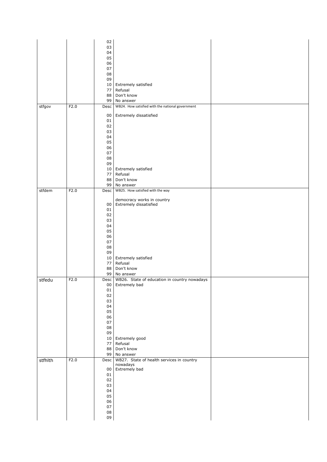|         |      | 02         |                                                       |  |
|---------|------|------------|-------------------------------------------------------|--|
|         |      | 03         |                                                       |  |
|         |      | 04         |                                                       |  |
|         |      | 05         |                                                       |  |
|         |      | 06<br>07   |                                                       |  |
|         |      | 08         |                                                       |  |
|         |      | 09         |                                                       |  |
|         |      | $10\,$     | Extremely satisfied                                   |  |
|         |      | 77         | Refusal                                               |  |
|         |      | 88         | Don't know                                            |  |
|         |      | 99         | No answer                                             |  |
| stfgov  | F2.0 | Desc       | WB24. How satisfied with the national government      |  |
|         |      | 00         | Extremely dissatisfied                                |  |
|         |      | 01         |                                                       |  |
|         |      | 02         |                                                       |  |
|         |      | 03         |                                                       |  |
|         |      | 04<br>05   |                                                       |  |
|         |      | 06         |                                                       |  |
|         |      | 07         |                                                       |  |
|         |      | 08         |                                                       |  |
|         |      | 09         |                                                       |  |
|         |      | 10         | Extremely satisfied                                   |  |
|         |      | 77<br>88   | Refusal                                               |  |
|         |      | 99         | Don't know<br>No answer                               |  |
| stfdem  | F2.0 | Desc       | WB25. How satisfied with the way                      |  |
|         |      |            |                                                       |  |
|         |      |            | democracy works in country                            |  |
|         |      | 00<br>01   | Extremely dissatisfied                                |  |
|         |      | 02         |                                                       |  |
|         |      | 03         |                                                       |  |
|         |      | 04         |                                                       |  |
|         |      | 05         |                                                       |  |
|         |      | 06         |                                                       |  |
|         |      | 07<br>08   |                                                       |  |
|         |      | 09         |                                                       |  |
|         |      | 10         | Extremely satisfied                                   |  |
|         |      | 77         | Refusal                                               |  |
|         |      | 88         | Don't know                                            |  |
|         |      | 99         | No answer                                             |  |
| stfedu  | F2.0 | Desc       | WB26. State of education in country nowadays          |  |
|         |      | 00<br>01   | Extremely bad                                         |  |
|         |      | 02         |                                                       |  |
|         |      | 03         |                                                       |  |
|         |      | 04         |                                                       |  |
|         |      | 05         |                                                       |  |
|         |      | 06<br>07   |                                                       |  |
|         |      | ${\bf 08}$ |                                                       |  |
|         |      | 09         |                                                       |  |
|         |      | 10         | Extremely good                                        |  |
|         |      | 77         | Refusal                                               |  |
|         |      | 88         | Don't know                                            |  |
|         |      | 99         | No answer                                             |  |
| stfhlth | F2.0 | Desc       | WB27. State of health services in country<br>nowadays |  |
|         |      | $00\,$     | Extremely bad                                         |  |
|         |      | 01         |                                                       |  |
|         |      | 02         |                                                       |  |
|         |      | 03         |                                                       |  |
|         |      | 04         |                                                       |  |
|         |      | 05<br>06   |                                                       |  |
|         |      | 07         |                                                       |  |
|         |      | ${\bf 08}$ |                                                       |  |
|         |      | 09         |                                                       |  |